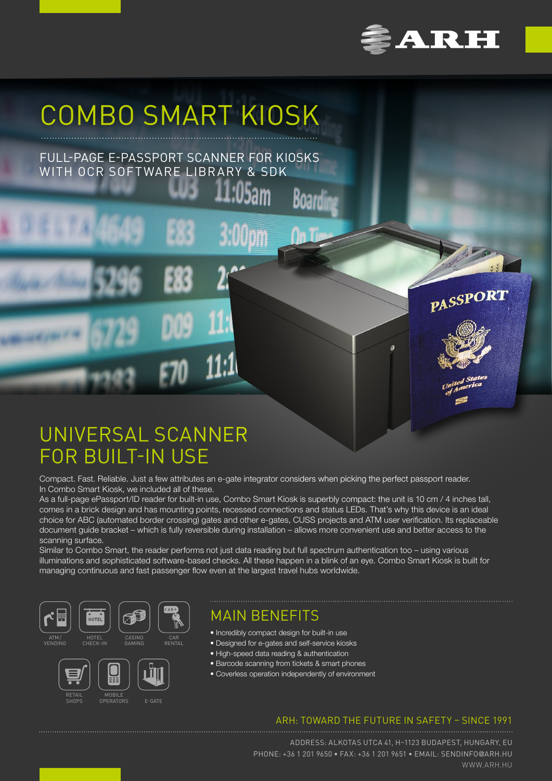

PASSPORT

# COMBO SMART KIOSK

FULL-PAGE E-PASSPORT SCANNER FOR KIOSKS WITH OCR SOFTWARE LIBRARY & SDK

## UNIVERSAL SCANNER FOR BUILT-IN USE

Compact. Fast. Reliable. Just a few attributes an e-gate integrator considers when picking the perfect passport reader. In Combo Smart Kiosk, we included all of these.

As a full-page ePassport/ID reader for built-in use, Combo Smart Kiosk is superbly compact: the unit is 10 cm / 4 inches tall, comes in a brick design and has mounting points, recessed connections and status LEDs. That's why this device is an ideal choice for ABC (automated border crossing) gates and other e-gates, CUSS projects and ATM user verification. Its replaceable document guide bracket – which is fully reversible during installation – allows more convenient use and better access to the scanning surface.

Boardi

Similar to Combo Smart, the reader performs not just data reading but full spectrum authentication too – using various illuminations and sophisticated software-based checks. All these happen in a blink of an eye. Combo Smart Kiosk is built for managing continuous and fast passenger flow even at the largest travel hubs worldwide.



**MOBIL OPERATORS** 

RETAIL SHOPS

E-GATE

MAIN BENEFITS

- Incredibly compact design for built-in use
- Designed for e-gates and self-service kiosks
- High-speed data reading & authentication
- Barcode scanning from tickets & smart phones
- Coverless operation independently of environment

### ARH: TOWARD THE FUTURE IN SAFETY – SINCE 1991

ADDRESS: ALKOTAS UTCA 41, H–1123 BUDAPEST, HUNGARY, EU PHONE: +36 1 201 9650 • FAX: +36 1 201 9651 • EMAIL: SENDINFO@ARH.HU WWW.ARH.HU